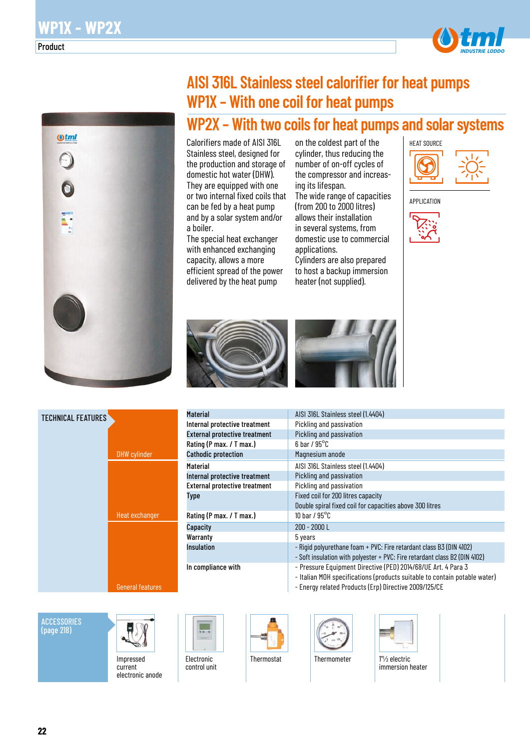

# **AISI 316L Stainless steel calorifier for heat pumps WP1X – With one coil for heat pumps**

## **WP2X – With two coils for heat pumps and solar systems**

Calorifiers made of AISI 316L Stainless steel, designed for the production and storage of domestic hot water (DHW). They are equipped with one or two internal fixed coils that can be fed by a heat pump and by a solar system and/or a boiler.

The special heat exchanger with enhanced exchanging capacity, allows a more efficient spread of the power delivered by the heat pump

on the coldest part of the cylinder, thus reducing the number of on-off cycles of the compressor and increasing its lifespan. The wide range of capacities (from 200 to 2000 litres) allows their installation in several systems, from domestic use to commercial applications. Cylinders are also prepared to host a backup immersion heater (not supplied).



APPLICATION









| AISI 316L Stainless steel (1.4404)                                                                                                                                                                  |
|-----------------------------------------------------------------------------------------------------------------------------------------------------------------------------------------------------|
| Pickling and passivation                                                                                                                                                                            |
| Pickling and passivation                                                                                                                                                                            |
| $6$ bar / $95^{\circ}$ C                                                                                                                                                                            |
| Magnesium anode                                                                                                                                                                                     |
| AISI 316L Stainless steel (1.4404)                                                                                                                                                                  |
| Pickling and passivation                                                                                                                                                                            |
| Pickling and passivation                                                                                                                                                                            |
| Fixed coil for 200 litres capacity                                                                                                                                                                  |
| Double spiral fixed coil for capacities above 300 litres                                                                                                                                            |
| 10 bar / $95^{\circ}$ C                                                                                                                                                                             |
| $200 - 2000$ L                                                                                                                                                                                      |
| 5 years                                                                                                                                                                                             |
| - Rigid polyurethane foam + PVC: Fire retardant class B3 (DIN 4102)                                                                                                                                 |
| - Soft insulation with polyester + PVC: Fire retardant class B2 (DIN 4102)                                                                                                                          |
| - Pressure Equipment Directive (PED) 2014/68/UE Art. 4 Para 3<br>- Italian MOH specifications (products suitable to contain potable water)<br>- Energy related Products (Erp) Directive 2009/125/CE |
|                                                                                                                                                                                                     |

#### **ACCESSORIES** (page 218)



Impressed current electronic anode Electronic control unit







immersion heater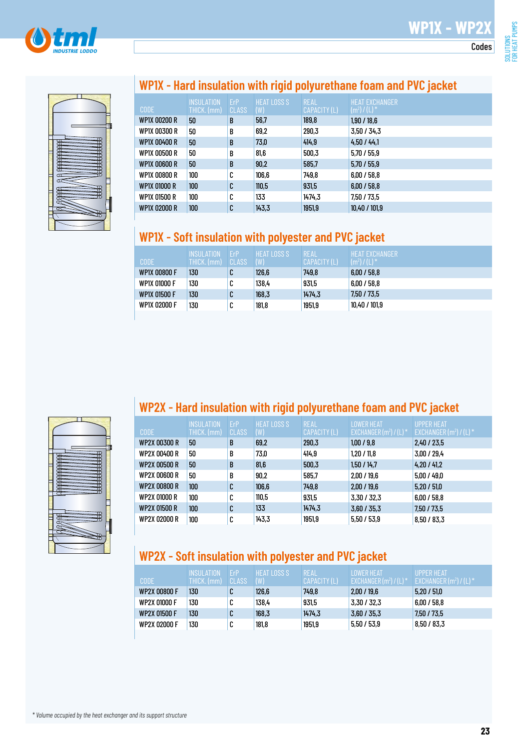



### **WP1X - Hard insulation with rigid polyurethane foam and PVC jacket**

|                     | <b>INSULATION</b> | ErP   | <b>HEAT LOSS S</b> | <b>REAL</b>  | <b>HEAT EXCHANGER</b> |
|---------------------|-------------------|-------|--------------------|--------------|-----------------------|
| <b>CODE</b>         | THICK. (mm)       | CLASS | (W)                | CAPACITY (L) | $(m^2) / (L)^*$       |
| <b>WP1X 00200 R</b> | 50                | B     | 56,7               | 189,8        | 1,90/18,6             |
| WP1X 00300 R        | 50                | B     | 69,2               | 290,3        | 3.50 / 34.3           |
| WP1X 00400 R        | 50                | B     | 73,0               | 414,9        | 4.50 / 44.1           |
| WP1X 00500 R        | 50                | B     | 81,6               | 500,3        | 5,70/55,9             |
| WP1X 00600 R        | 50                | B     | 90,2               | 585,7        | 5,70/55,9             |
| WP1X 00800 R        | 100               | C     | 106,6              | 749.8        | 6,00/58,8             |
| WP1X 01000 R        | 100               | C     | 110,5              | 931,5        | 6,00/58,8             |
| WP1X 01500 R        | 100               | C     | 133                | 1474.3       | 7,50 / 73,5           |
| WP1X 02000 R        | 100               | C     | 143,3              | 1951,9       | 10,40 / 101,9         |

### **WP1X - Soft insulation with polyester and PVC jacket**

| <b>CODE</b>         | <b>INSULATION</b><br>THICK. (mm) | FrP'<br>CLASS | <b>HEAT LOSS S</b><br>(W) | <b>REAL</b><br><b>CAPACITY (L)</b> | <b>HEAT FXCHANGER</b><br>$(m2)/(L)$ <sup>*</sup> |
|---------------------|----------------------------------|---------------|---------------------------|------------------------------------|--------------------------------------------------|
| WP1X 00800 F        | 130                              | C             | 126,6                     | 749.8                              | 6.00 / 58.8                                      |
| <b>WP1X 01000 F</b> | 130                              | C             | 138,4                     | 931,5                              | 6.00 / 58.8                                      |
| <b>WP1X 01500 F</b> | 130                              | C             | 168,3                     | 1474.3                             | 7.50 / 73.5                                      |
| WP1X 02000 F        | 130                              | C             | 181,8                     | 1951.9                             | 10,40 / 101,9                                    |



### **WP2X - Hard insulation with rigid polyurethane foam and PVC jacket**

| <b>CODE</b>         | <b>INSULATION</b><br>THICK. (mm) | ErP<br><b>CLASS</b> | <b>HEAT LOSS S</b><br>(W) | <b>REAL</b><br>CAPACITY (L) | <b>LOWER HEAT</b><br>EXCHANGER $(m^2) / (L)^*$ | UPPER HEAT<br>EXCHANGER $(m^2) / (L)^*$ |
|---------------------|----------------------------------|---------------------|---------------------------|-----------------------------|------------------------------------------------|-----------------------------------------|
| WP2X 00300 R        | 50                               | B                   | 69,2                      | 290,3                       | 1,00/9,8                                       | 2,40/23,5                               |
| WP2X 00400 R        | 50                               | B                   | 73,0                      | 414.9                       | 1,20/11,8                                      | 3,00 / 29,4                             |
| <b>WP2X 00500 R</b> | 50                               | B                   | 81.6                      | 500,3                       | 1,50/14,7                                      | 4,20/41,2                               |
| WP2X 00600 R        | 50                               | B                   | 90.2                      | 585.7                       | 2,00/19,6                                      | 5.00 / 49.0                             |
| <b>WP2X 00800 R</b> | 100                              | C                   | 106,6                     | 749.8                       | 2,00/19,6                                      | 5,20/51,0                               |
| WP2X 01000 R        | 100                              | C                   | 110,5                     | 931,5                       | 3,30/32,3                                      | 6,00/58,8                               |
| <b>WP2X 01500 R</b> | 100                              | C                   | 133                       | 1474,3                      | 3,60/35,3                                      | 7,50 / 73,5                             |
| WP2X 02000 R        | 100                              | C                   | 143,3                     | 1951,9                      | 5,50/53,9                                      | 8,50 / 83,3                             |

## **WP2X - Soft insulation with polyester and PVC jacket**

| CODE                | <b>LINSUL ATION</b><br>THICK. (mm) | <b>FrP</b><br>CLASS | HEAT LOSS S<br>(W) | RÉAL<br>LCAPACITY (L)' | <b>I OWER HEAT</b><br>EXCHANGER $(m^2) / (L)^*$ | LUPPER HEAT <sup>1</sup><br>$EXCHANGER(m2) / (L) *$ |
|---------------------|------------------------------------|---------------------|--------------------|------------------------|-------------------------------------------------|-----------------------------------------------------|
| WP2X 00800 F        | 130                                | u                   | 126,6              | 749.8                  | 2,00/19,6                                       | 5.20 / 51.0                                         |
| WP2X 01000 F        | 130                                | u                   | 138,4              | 931,5                  | 3,30 / 32,3                                     | 6.00 / 58.8                                         |
| <b>WP2X 01500 F</b> | 130                                | u                   | 168,3              | 1474.3                 | 3,60/35,3                                       | 7,50 / 73,5                                         |
| WP2X 02000 F        | 130                                | u                   | 181,8              | 1951,9                 | 5.50 / 53.9                                     | 8,50/83,3                                           |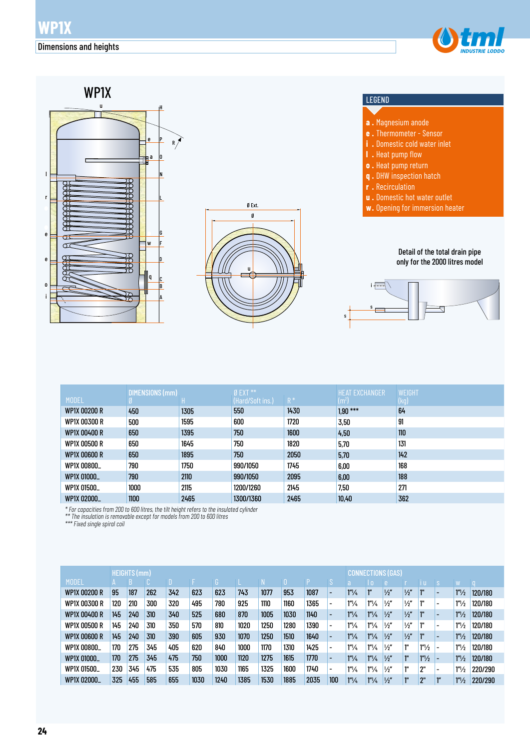



| <b>MODEL</b>        | DIMENSIONS (mm) |      | $Ø$ EXT $**$<br>(Hard/Soft ins.) | $R^*$ | <b>HEAT EXCHANGER</b><br>$\rm (m^2)$ | <b>WEIGHT</b><br>(kg) |
|---------------------|-----------------|------|----------------------------------|-------|--------------------------------------|-----------------------|
| <b>WP1X 00200 R</b> | 450             | 1305 | 550                              | 1430  | $1.90***$                            | 64                    |
| WP1X 00300 R        | 500             | 1595 | 600                              | 1720  | 3,50                                 | 91                    |
| <b>WP1X 00400 R</b> | 650             | 1395 | 750                              | 1600  | 4,50                                 | 110                   |
| <b>WP1X 00500 R</b> | 650             | 1645 | 750                              | 1820  | 5,70                                 | 131                   |
| <b>WP1X 00600 R</b> | 650             | 1895 | 750                              | 2050  | 5.70                                 | 142                   |
| WP1X 00800_         | 790             | 1750 | 990/1050                         | 1745  | 6.00                                 | 168                   |
| WP1X 01000_         | 790             | 2110 | 990/1050                         | 2095  | 6.00                                 | 188                   |
| WP1X 01500_         | 1000            | 2115 | 1200/1260                        | 2145  | 7.50                                 | 271                   |
| WP1X 02000_         | 1100            | 2465 | 1300/1360                        | 2465  | 10,40                                | 362                   |

*\* For capacities from 200 to 600 litres, the tilt height refers to the insulated cylinder* 

*\*\* The insulation is removable except for models from 200 to 600 litres*

*\*\*\* Fixed single spiral coil*

|                     |     | <b>HEIGHTS (mm)</b> |     |     |      | <b>NECTIONS (GAS)</b><br>CONI |      |      |      |      |                          |                      |                        |               |                 |                   |                          |                   |         |
|---------------------|-----|---------------------|-----|-----|------|-------------------------------|------|------|------|------|--------------------------|----------------------|------------------------|---------------|-----------------|-------------------|--------------------------|-------------------|---------|
| <b>MODEL</b>        |     |                     |     |     |      |                               |      |      |      |      |                          |                      | $\overline{0}$         |               |                 |                   |                          |                   |         |
| <b>WP1X 00200 R</b> | 95  | 187                 | 262 | 342 | 623  | 623                           | 743  | 1077 | 953  | 1087 | $\overline{\phantom{0}}$ | $1''\frac{1}{4}$     | ľ"                     | $\frac{1}{2}$ | $\frac{1}{2}$   | 1"                | -                        | 1 <sup>n</sup> /2 | 120/180 |
| <b>WP1X 00300 R</b> | 120 | 210                 | 300 | 320 | 495  | 780                           | 925  | 1110 | 1160 | 1365 | $\overline{\phantom{a}}$ | $1^{\prime\prime}/4$ | $1''\frac{1}{4}$       | $\frac{1}{2}$ | $\frac{1}{2}$   | 1"                | $\overline{\phantom{0}}$ | 1 <sup>n</sup> /2 | 120/180 |
| WP1X 00400 R        | 145 | 240                 | 310 | 340 | 525  | 680                           | 870  | 1005 | 1030 | 1140 | $\overline{\phantom{0}}$ | $1^{\prime\prime}/4$ | $1''\frac{1}{4}$       | $\frac{1}{2}$ | $\frac{1}{2}$   | ı"                | -                        | 1 <sup>n</sup> /2 | 120/180 |
| WP1X 00500 R        | 145 | 240                 | 310 | 350 | 570  | 810                           | 1020 | 1250 | 1280 | 1390 | $\overline{\phantom{a}}$ | $1^{\prime\prime}/4$ | $1''\frac{1}{4}$       | $\frac{1}{2}$ | $\frac{1}{2}$   | 1"                | $\overline{\phantom{0}}$ | 1 <sup>n</sup> /2 | 120/180 |
| <b>WP1X 00600 R</b> | 145 | 240                 | 310 | 390 | 605  | 930                           | 1070 | 1250 | 1510 | 1640 |                          | $1^{\prime\prime}/4$ | $1''\frac{1}{4}$       | $\frac{1}{2}$ | $\frac{1}{2}$   | 1"                | -                        | 1 <sup>n</sup> /2 | 120/180 |
| WP1X 00800_         | 170 | 275                 | 345 | 405 | 620  | 840                           | 1000 | 1170 | 1310 | 1425 | -                        | $1^{\prime\prime}/4$ | $1^{\prime\prime}/\mu$ | $\frac{1}{2}$ | 1"              | 1 <sup>n</sup> /2 | $\overline{\phantom{0}}$ | 1 <sup>n</sup> /2 | 120/180 |
| WP1X 01000          | 170 | 275                 | 345 | 475 | 750  | 1000                          | 1120 | 1275 | 1615 | 1770 | $\overline{\phantom{0}}$ | $1^{\prime\prime}/4$ | $1''\frac{1}{4}$       | $\frac{1}{2}$ | ľ"              | 1 <sup>n</sup> /2 |                          | 1 <sup>n</sup> /2 | 120/180 |
| WP1X 01500          | 230 | 345                 | 475 | 535 | 805  | 1030                          | 1165 | 1325 | 1600 | 1740 | $\overline{\phantom{a}}$ | $1^{\prime\prime}/4$ | $1''\frac{1}{4}$       | $\frac{1}{2}$ | 1"              | 2"                | $\overline{\phantom{0}}$ | 1 <sup>n</sup> /2 | 220/290 |
| WP1X 02000_         | 325 | 455                 | 585 | 655 | 1030 | 1240                          | 1385 | 1530 | 1885 | 2035 | 100                      | $1''\frac{1}{4}$     | $1''\frac{1}{4}$       | $\frac{1}{2}$ | $1^{\text{II}}$ | "?                | $1^{\prime\prime}$       | 1 <sup>n</sup> /2 | 220/290 |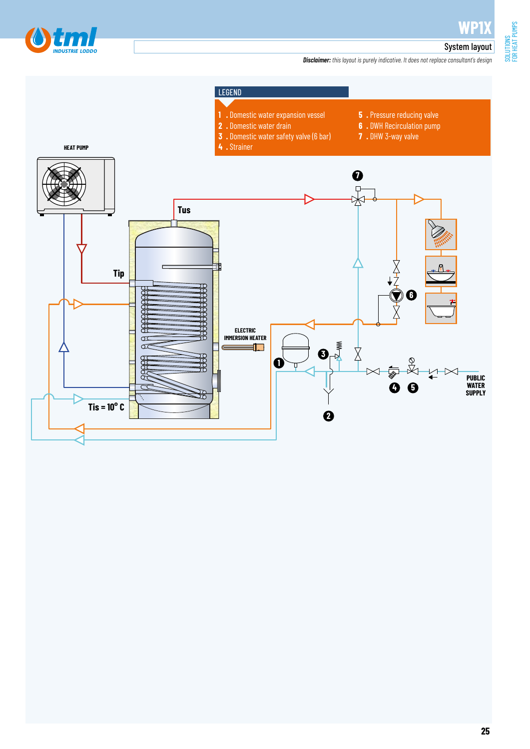

SOLUTIONS<br>FOR HEAT PUMPS FOR HEAT PUMPS

#### System layout

*Disclaimer: this layout is purely indicative. It does not replace consultant's design*

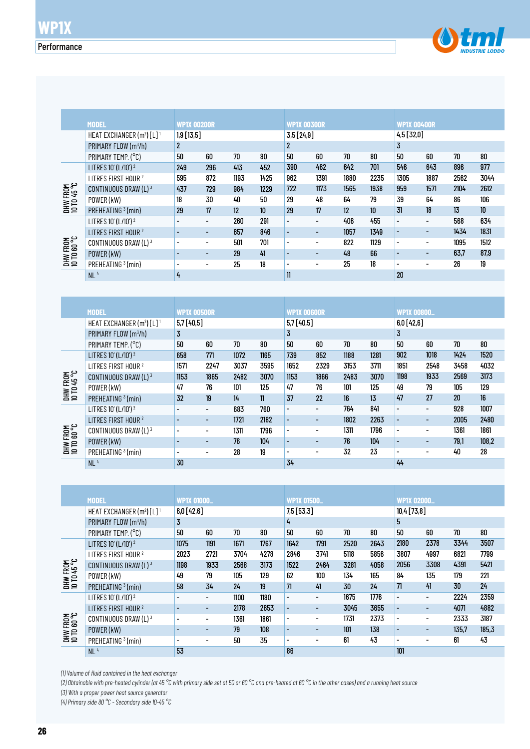

|                                | <b>MODEL</b>                                      | WP1X 00200R              |                          |      |                  | WP1X 00300R              |                          |      |      | <b>WP1X 00400R</b>       |                          |      |                  |
|--------------------------------|---------------------------------------------------|--------------------------|--------------------------|------|------------------|--------------------------|--------------------------|------|------|--------------------------|--------------------------|------|------------------|
|                                | HEAT EXCHANGER (m <sup>2</sup> ) [L] <sup>1</sup> | $1,9$ [13,5]             |                          |      |                  | 3,5[24,9]                |                          |      |      | 4,5[32,0]                |                          |      |                  |
|                                | PRIMARY FLOW $(m^3/h)$                            | $\mathbf{2}$             |                          |      |                  | $\mathbf{2}$             |                          |      |      | 3                        |                          |      |                  |
|                                | PRIMARY TEMP. (°C)                                | 50                       | 60                       | 70   | 80               | 50                       | 60                       | 70   | 80   | 50                       | 60                       | 70   | 80               |
|                                | LITRES 10' (L/10') <sup>2</sup>                   | 249                      | 296                      | 413  | 452              | 390                      | 462                      | 642  | 701  | 546                      | 643                      | 896  | 977              |
|                                | LITRES FIRST HOUR <sup>2</sup>                    | 595                      | 872                      | 1193 | 1425             | 962                      | 1391                     | 1880 | 2235 | 1305                     | 1887                     | 2562 | 3044             |
| DHW FROM<br>10 TD 45 °C        | CONTINUOUS DRAW (L) 3                             | 437                      | 729                      | 984  | 1229             | 722                      | 1173                     | 1565 | 1938 | 959                      | 1571                     | 2104 | 2612             |
|                                | POWER (kW)                                        | 18                       | 30                       | 40   | 50               | 29                       | 48                       | 64   | 79   | 39                       | 64                       | 86   | 106              |
|                                | PREHEATING <sup>3</sup> (min)                     | 29                       | 17                       | 12   | 10 <sup>10</sup> | 29                       | 17                       | 12   | 10   | 31                       | 18                       | 13   | 10 <sup>10</sup> |
|                                | LITRES 10' (L/10') 2                              | $\overline{a}$           | $\overline{\phantom{0}}$ | 260  | 291              | $\overline{a}$           | $\overline{\phantom{0}}$ | 406  | 455  | $\overline{\phantom{0}}$ |                          | 568  | 634              |
|                                | LITRES FIRST HOUR <sup>2</sup>                    |                          | $\overline{\phantom{0}}$ | 657  | 846              | $\overline{a}$           | $\overline{\phantom{a}}$ | 1057 | 1349 | $\overline{\phantom{0}}$ | $\overline{\phantom{0}}$ | 1434 | 1831             |
| <b>DHW FROM</b><br>10 TO 60 °C | CONTINUOUS DRAW (L) 3                             | $\overline{\phantom{0}}$ | $\overline{\phantom{0}}$ | 501  | 701              | $\overline{a}$           | $\overline{\phantom{a}}$ | 822  | 1129 | $\overline{\phantom{a}}$ |                          | 1095 | 1512             |
|                                | POWER (kW)                                        |                          | $\overline{\phantom{0}}$ | 29   | 41               |                          | $\overline{\phantom{0}}$ | 48   | 66   |                          |                          | 63.7 | 87,9             |
|                                | PREHEATING <sup>3</sup> (min)                     | $\overline{\phantom{0}}$ | $\overline{\phantom{0}}$ | 25   | 18               | $\overline{\phantom{0}}$ | $\overline{\phantom{a}}$ | 25   | 18   | $\overline{\phantom{0}}$ | ٠                        | 26   | 19               |
|                                | NL <sup>4</sup>                                   | 4                        |                          |      |                  | $\mathbf{1}$             |                          |      |      | 20                       |                          |      |                  |

| <b>DHW FROM<br/>10 TD 60 °C</b> | CONTINUOUS DRAW (L) 3                             |                          | $\overline{\phantom{a}}$ | 501  | 701         | $\overline{a}$           | $\overline{a}$           | 822  | 1129 | $\overline{\phantom{a}}$     | $\overline{\phantom{a}}$ | 1095   | 1512   |
|---------------------------------|---------------------------------------------------|--------------------------|--------------------------|------|-------------|--------------------------|--------------------------|------|------|------------------------------|--------------------------|--------|--------|
|                                 | POWER (kW)                                        |                          | $\overline{a}$           | 29   | 41          | $\overline{\phantom{a}}$ | $\overline{a}$           | 48   | 66   | $\qquad \qquad \blacksquare$ | $\overline{\phantom{a}}$ | 63,7   | 87,9   |
|                                 | PREHEATING <sup>3</sup> (min)                     | $\blacksquare$           | $\overline{a}$           | 25   | 18          | $\overline{\phantom{a}}$ | $\overline{a}$           | 25   | 18   | $\overline{\phantom{a}}$     |                          | 26     | 19     |
|                                 | NL <sup>4</sup>                                   | 4                        |                          |      |             | $\mathbf{11}$            |                          |      |      | 20                           |                          |        |        |
|                                 |                                                   |                          |                          |      |             |                          |                          |      |      |                              |                          |        |        |
|                                 |                                                   |                          |                          |      |             |                          |                          |      |      |                              |                          |        |        |
|                                 | <b>MODEL</b>                                      | <b>WP1X 00500R</b>       |                          |      |             | <b>WP1X 00600R</b>       |                          |      |      | <b>WP1X 00800_</b>           |                          |        |        |
|                                 | HEAT EXCHANGER (m <sup>2</sup> ) [L] <sup>1</sup> | 5,7[40,5]                |                          |      |             | 5,7 [40,5]               |                          |      |      | 6,0[42,6]                    |                          |        |        |
|                                 | PRIMARY FLOW (m3/h)                               | $\overline{3}$           |                          |      |             | $\overline{3}$           |                          |      |      | $\overline{3}$               |                          |        |        |
|                                 | PRIMARY TEMP. (°C)                                | 50                       | 60                       | 70   | 80          | 50                       | 60                       | 70   | 80   | 50                           | 60                       | 70     | $80\,$ |
|                                 | LITRES 10' (L/10') <sup>2</sup>                   | 658                      | 771                      | 1072 | 1165        | 739                      | 852                      | 1188 | 1281 | 902                          | 1018                     | 1424   | 1520   |
|                                 | LITRES FIRST HOUR <sup>2</sup>                    | 1571                     | 2247                     | 3037 | 3595        | 1652                     | 2329                     | 3153 | 3711 | 1851                         | 2548                     | 3458   | 4032   |
| <b>DHW FROM<br/>10 TD 45 °C</b> | CONTINUOUS DRAW (L) 3                             | 1153                     | 1865                     | 2482 | 3070        | 1153                     | 1866                     | 2483 | 3070 | 1198                         | 1933                     | 2569   | 3173   |
|                                 | POWER (kW)                                        | 47                       | 76                       | 101  | 125         | 47                       | 76                       | 101  | 125  | 49                           | 79                       | 105    | 129    |
|                                 | PREHEATING <sup>3</sup> (min)                     | 32                       | 19                       | 14   | $\mathbf l$ | 37                       | 22                       | 16   | 13   | 47                           | 27                       | $20\,$ | 16     |
|                                 | LITRES 10' (L/10') <sup>2</sup>                   | $\overline{a}$           | $\overline{\phantom{a}}$ | 683  | 760         | $\overline{\phantom{a}}$ | $\overline{\phantom{a}}$ | 764  | 841  | $\overline{\phantom{a}}$     | $\overline{\phantom{a}}$ | 928    | 1007   |
|                                 | LITRES FIRST HOUR <sup>2</sup>                    |                          | $\overline{\phantom{a}}$ | 1721 | 2182        | $\Box$                   | $\overline{\phantom{a}}$ | 1802 | 2263 | ÷,                           | $\blacksquare$           | 2005   | 2480   |
|                                 | CONTINUOUS DRAW (L) 3                             | $\overline{\phantom{a}}$ | $\overline{\phantom{a}}$ | 1311 | 1796        | $\overline{\phantom{a}}$ | $\overline{\phantom{a}}$ | 1311 | 1796 | $\overline{\phantom{a}}$     | $\overline{\phantom{a}}$ | 1361   | 1861   |
| DHW FROM<br>10 TO 60 °C         | POWER (kW)                                        |                          | $\overline{\phantom{a}}$ | 76   | 104         | $\blacksquare$           | $\overline{\phantom{a}}$ | 76   | 104  | $\overline{\phantom{a}}$     | $\overline{\phantom{a}}$ | 79,1   | 108,2  |
|                                 | PREHEATING <sup>3</sup> (min)                     | $\overline{\phantom{a}}$ | $\overline{\phantom{a}}$ | 28   | 19          |                          | $\overline{a}$           | 32   | 23   |                              | ÷,                       | 40     | 28     |
|                                 | NL <sup>4</sup>                                   | 30                       |                          |      |             | 34                       |                          |      |      | 44                           |                          |        |        |
|                                 |                                                   |                          |                          |      |             |                          |                          |      |      |                              |                          |        |        |
|                                 |                                                   |                          |                          |      |             |                          |                          |      |      |                              |                          |        |        |
|                                 | <b>MODEL</b>                                      | <b>WP1X 01000.</b>       |                          |      |             | <b>WP1X 01500.</b>       |                          |      |      | <b>WP1X 02000_</b>           |                          |        |        |
|                                 | HEAT EXCHANGER (m <sup>2</sup> ) [L] <sup>1</sup> | 6,0[42,6]                |                          |      |             | 7,5 [53,3]               |                          |      |      | 10,4[73,8]                   |                          |        |        |
|                                 | PRIMARY FLOW (m3/h)                               | $\overline{3}$           |                          |      |             | 4                        |                          |      |      | 5                            |                          |        |        |
|                                 | PRIMARY TEMP. (°C)                                | 50                       | 60                       | 70   | 80          | 50                       | 60                       | 70   | 80   | 50                           | 60                       | 70     | 80     |
|                                 | LITRES 10' (L/10') 2                              | 1075                     | 1191                     | 1671 | 1767        | 1642                     | 1791                     | 2520 | 2643 | 2180                         | 2378                     | 3344   | 3507   |
|                                 | LITRES FIRST HOUR <sup>2</sup>                    | 2023                     | 2721                     | 3704 | 4278        | 2846                     | 3741                     | 5118 | 5856 | 3807                         | 4997                     | 6821   | 7799   |
| DHW FROM<br>10 TO 45 °C         | CONTINUOUS DRAW (L) 3                             | 1198                     | 1933                     | 2568 | 3173        | 1522                     | 2464                     | 3281 | 4058 | 2056                         | 3308                     | 4391   | 5421   |
|                                 | POWER (kW)                                        | 49                       | 79                       | 105  | 129         | 62                       | 100                      | 134  | 165  | 84                           | 135                      | 179    | 221    |
|                                 | PRFHFATING $3$ (min)                              | 58                       | 34                       | 24   | 19          | 71                       | 41                       | 30   | 24   | 71                           | 41                       | 30     | 24     |

|                                | <b>MODEL</b>                                      | <b>WP1X 01000_</b> |                          |      |      | WP1X 01500_              |                          |      |      | <b>WP1X 02000_</b>       |                          |       |       |
|--------------------------------|---------------------------------------------------|--------------------|--------------------------|------|------|--------------------------|--------------------------|------|------|--------------------------|--------------------------|-------|-------|
|                                | HEAT EXCHANGER (m <sup>2</sup> ) [L] <sup>1</sup> | 6,0[42,6]          |                          |      |      | 7,5[53,3]                |                          |      |      | 10,4[73,8]               |                          |       |       |
|                                | PRIMARY FLOW (m <sup>3</sup> /h)                  | 3                  |                          |      |      | 4                        |                          |      |      | 5                        |                          |       |       |
|                                | PRIMARY TEMP. (°C)                                | 50                 | 60                       | 70   | 80   | 50                       | 60                       | 70   | 80   | 50                       | 60                       | 70    | 80    |
|                                | LITRES 10' (L/10') <sup>2</sup>                   | 1075               | 1191                     | 1671 | 1767 | 1642                     | 1791                     | 2520 | 2643 | 2180                     | 2378                     | 3344  | 3507  |
|                                | LITRES FIRST HOUR <sup>2</sup>                    | 2023               | 2721                     | 3704 | 4278 | 2846                     | 3741                     | 5118 | 5856 | 3807                     | 4997                     | 6821  | 7799  |
| DHW FROM<br>10 TD 45 °C        | CONTINUOUS DRAW (L) 3                             | 1198               | 1933                     | 2568 | 3173 | 1522                     | 2464                     | 3281 | 4058 | 2056                     | 3308                     | 4391  | 5421  |
|                                | POWER (kW)                                        | 49                 | 79                       | 105  | 129  | 62                       | 100                      | 134  | 165  | 84                       | 135                      | 179   | 221   |
|                                | PREHEATING <sup>3</sup> (min)                     | 58                 | 34                       | 24   | 19   | 71                       | 41                       | 30   | 24   | 71                       | 41                       | 30    | 24    |
|                                | LITRES 10' (L/10') <sup>2</sup>                   |                    | $\overline{\phantom{a}}$ | 1100 | 1180 | $\overline{\phantom{0}}$ | $\overline{\phantom{0}}$ | 1675 | 1776 | $\overline{\phantom{0}}$ | -                        | 2224  | 2359  |
|                                | LITRES FIRST HOUR <sup>2</sup>                    |                    | $\overline{\phantom{0}}$ | 2178 | 2653 | $\overline{\phantom{0}}$ | ٠                        | 3045 | 3655 | $\overline{\phantom{0}}$ | ٠                        | 4071  | 4882  |
| <b>DHW FROM</b><br>10 TO 60 °C | CONTINUOUS DRAW (L) 3                             | $\overline{a}$     | $\overline{\phantom{a}}$ | 1361 | 1861 | $\overline{\phantom{0}}$ | $\overline{\phantom{a}}$ | 1731 | 2373 | $\overline{\phantom{a}}$ | $\overline{\phantom{a}}$ | 2333  | 3187  |
|                                | POWER (kW)                                        |                    | $\overline{\phantom{a}}$ | 79   | 108  | $\overline{\phantom{0}}$ | $\overline{\phantom{0}}$ | 101  | 138  | $\overline{\phantom{0}}$ | -                        | 135.7 | 185,3 |
|                                | PREHEATING <sup>3</sup> (min)                     | $\overline{a}$     | $\overline{\phantom{a}}$ | 50   | 35   | $\overline{\phantom{0}}$ | -                        | 61   | 43   | $\overline{\phantom{0}}$ | -                        | 61    | 43    |
|                                | NL <sup>4</sup>                                   | 53                 |                          |      |      | 86                       |                          |      |      | 101                      |                          |       |       |

*(1) Volume of fluid contained in the heat exchanger*

*(2) Obtainable with pre-heated cylinder (at 45 °C with primary side set at 50 or 60 °C and pre-heated at 60 °C in the other cases) and a running heat source (3) With a proper power heat source generator*

*(4) Primary side 80 °C - Secondary side 10-45 °C*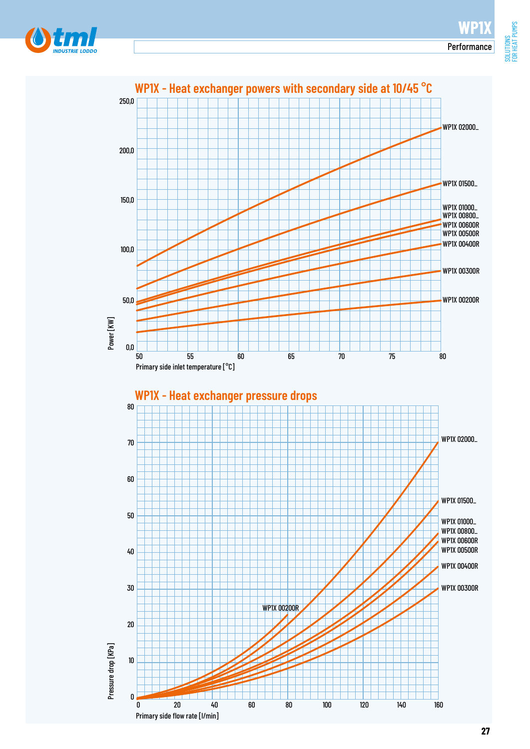FOR HEAT PUMPS



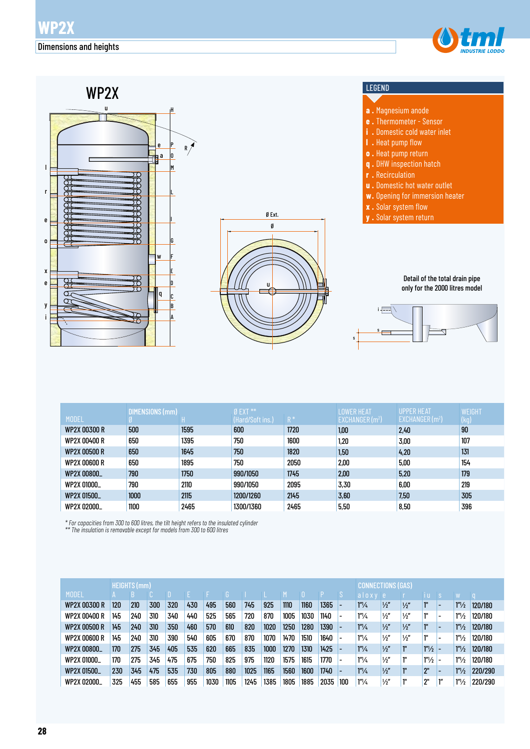



|                     | DIMENSIONS (mm) |      | $Ø$ EXT **       |       | <b>LOWER HEAT</b> | UPPER HEAT                  | WEIGHT |
|---------------------|-----------------|------|------------------|-------|-------------------|-----------------------------|--------|
| <b>MODEL</b>        |                 |      | (Hard/Soft ins.) | $R^*$ | EXCHANGER $(m2)$  | EXCHANGER (m <sup>2</sup> ) | (kg)   |
| <b>WP2X 00300 R</b> | 500             | 1595 | 600              | 1720  | 1,00              | 2,40                        | 90     |
| WP2X 00400 R        | 650             | 1395 | 750              | 1600  | 1,20              | 3,00                        | 107    |
| <b>WP2X 00500 R</b> | 650             | 1645 | 750              | 1820  | 1,50              | 4,20                        | 131    |
| WP2X 00600 R        | 650             | 1895 | 750              | 2050  | 2,00              | 5,00                        | 154    |
| WP2X 00800_         | 790             | 1750 | 990/1050         | 1745  | 2,00              | 5,20                        | 179    |
| WP2X 01000_         | 790             | 2110 | 990/1050         | 2095  | 3,30              | 6,00                        | 219    |
| WP2X 01500_         | 1000            | 2115 | 1200/1260        | 2145  | 3,60              | 7,50                        | 305    |
| WP2X 02000_         | 1100            | 2465 | 1300/1360        | 2465  | 5,50              | 8,50                        | 396    |

*\* For capacities from 300 to 600 litres, the tilt height refers to the insulated cylinder \*\* The insulation is removable except for models from 300 to 600 litres*

|                     |     | <b>HEIGHTS (mm)</b> |     |     |     |      |      |      |      |      |      |      |     |                               |               | <b>CONNECTIONS (GAS)</b> |                   |                          |                       |         |  |
|---------------------|-----|---------------------|-----|-----|-----|------|------|------|------|------|------|------|-----|-------------------------------|---------------|--------------------------|-------------------|--------------------------|-----------------------|---------|--|
| <b>MODEL</b>        |     |                     |     |     |     |      |      |      |      |      |      |      |     | aloxy e                       |               |                          | ТU                |                          |                       |         |  |
| <b>WP2X 00300 R</b> | 120 | 210                 | 300 | 320 | 430 | 495  | 560  | 745  | 925  | 1110 | 1160 | 1365 |     | 1 <sup>m</sup> /4             | $\frac{1}{2}$ | $\frac{1}{2}$            |                   | $\overline{\phantom{0}}$ | 1 <sup>n</sup> /2     | 120/180 |  |
| WP2X 00400 R        | 145 | 240                 | 310 | 340 | 440 | 525  | 565  | 720  | 870  | 1005 | 1030 | 1140 |     | 1''/4                         | $\frac{1}{2}$ | $\frac{1}{2}$            | 111               |                          | 1 <sup>n</sup> /2     | 120/180 |  |
| <b>WP2X 00500 R</b> | 145 | 240                 | 310 | 350 | 460 | 570  | 610  | 820  | 1020 | 1250 | 1280 | 1390 |     | 1 <sup>n</sup> / <sub>4</sub> | $\frac{1}{2}$ | $\frac{1}{2}$            | 10                |                          | 1 <sup>n</sup> /2     | 120/180 |  |
| <b>WP2X 00600 R</b> | 145 | 240                 | 310 | 390 | 540 | 605  | 670  | 870  | 1070 | 1470 | 1510 | 1640 |     | 1''/4                         | $\frac{1}{2}$ | $\frac{1}{2}$            | 111               | $\overline{\phantom{0}}$ | 1 <sup>n</sup> /2     | 120/180 |  |
| WP2X 00800_         | 170 | 275                 | 345 | 405 | 535 | 620  | 665  | 835  | 1000 | 1270 | 1310 | 1425 |     | 1 <sup>n</sup> /4             | $\frac{1}{2}$ | 1 <sup>''</sup>          | 1 <sup>n</sup> /2 |                          | 1 <sup>n</sup> /2     | 120/180 |  |
| WP2X 01000_         | 170 | 275                 | 345 | 475 | 675 | 750  | 825  | 975  | 1120 | 1575 | 1615 | 1770 |     | 1''/4                         | $\frac{1}{2}$ | 1"                       | 1 <sup>n</sup> /2 | $\overline{\phantom{0}}$ | 1 <sup>n</sup> /2     | 120/180 |  |
| WP2X 01500          | 230 | 345                 | 475 | 535 | 730 | 805  | 880  | 1025 | 1165 | 1560 | 1600 | 1740 |     | 1 <sup>n</sup> /4             | $\frac{1}{2}$ | <sup>"</sup>             | 2"                |                          | 1 <sup>n</sup> /2     | 220/290 |  |
| WP2X 02000          | 325 | 455                 | 585 | 655 | 955 | 1030 | 1105 | 1245 | 1385 | 1805 | 1885 | 2035 | 100 | $1^{\prime\prime}/\mu$        | $\frac{1}{2}$ | ı"                       | 2"                | ľ"                       | $1^{\prime\prime}/_2$ | 220/290 |  |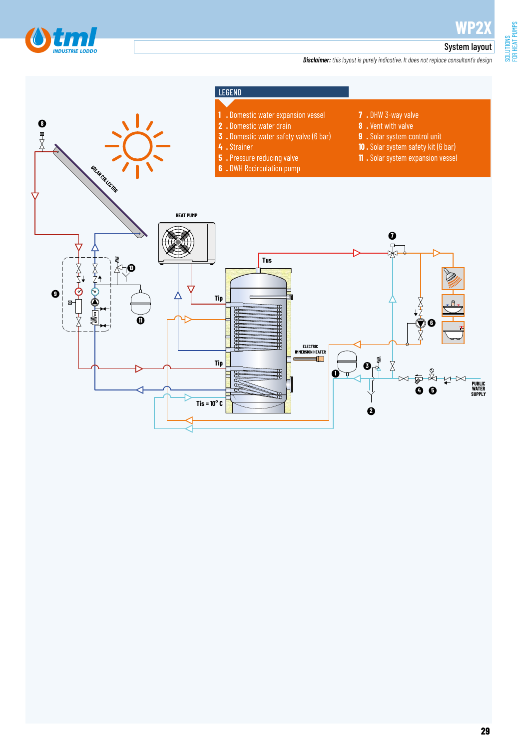

SOLUTIONS<br>FOR HEAT PUMPS FOR HEAT PUMPS

#### System layout

*Disclaimer: this layout is purely indicative. It does not replace consultant's design*

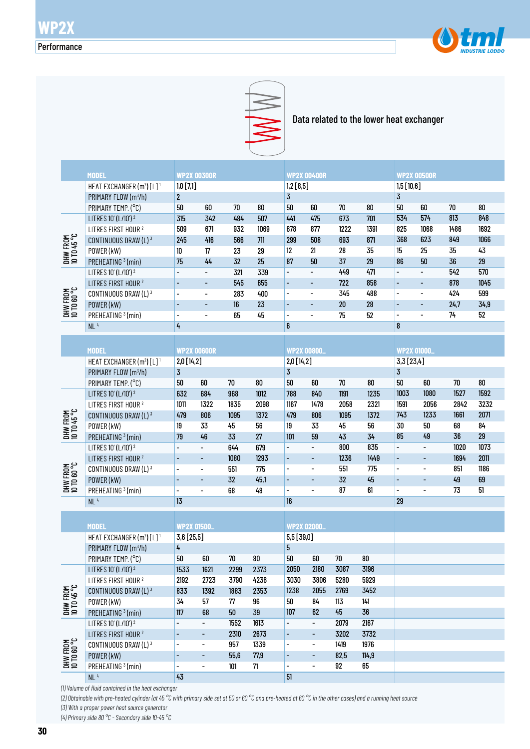



Data related to the lower heat exchanger

|                         | <b>MODEL</b>                                      | <b>WP2X 00300R</b>       |                              |        |            |                              | <b>WP2X 00400R</b>           |        |        | <b>WP2X 00500R</b>       |                          |      |        |  |  |
|-------------------------|---------------------------------------------------|--------------------------|------------------------------|--------|------------|------------------------------|------------------------------|--------|--------|--------------------------|--------------------------|------|--------|--|--|
|                         | HEAT EXCHANGER (m <sup>2</sup> ) [L] <sup>1</sup> | $1,0$ [7,1]              |                              |        |            | 1,2 [8,5]                    |                              |        |        | 1,5[10,6]                |                          |      |        |  |  |
|                         | PRIMARY FLOW (m3/h)                               | $\mathbf{2}$             |                              |        |            |                              |                              |        |        | $\overline{3}$           |                          |      |        |  |  |
|                         | PRIMARY TEMP. (°C)                                | 50                       | $60\,$                       | 70     | $80\,$     | $\overline{3}$<br>50         | 60                           | $70\,$ | $80\,$ | 50                       | 60                       | 70   | $80\,$ |  |  |
| DHW FROM<br>10 TD 45 °C | LITRES 10' (L/10') <sup>2</sup>                   | 315                      | 342                          | 484    | 507        | 441                          | 475                          | 673    | 701    | 534                      | 574                      | 813  | 848    |  |  |
|                         | LITRES FIRST HOUR <sup>2</sup>                    | 509                      | 671                          | 932    | 1069       | 678                          | 877                          | 1222   | 1391   | 825                      | 1068                     | 1486 | 1692   |  |  |
|                         |                                                   |                          | 416                          | 566    |            | 299                          | 508                          | 693    | 871    | 368                      |                          | 849  | 1066   |  |  |
|                         | CONTINUOUS DRAW (L) 3                             | 245                      |                              |        | 711        |                              |                              |        |        |                          | 623                      |      |        |  |  |
|                         | POWER (kW)                                        | 10                       | $17\,$                       | 23     | 29         | 12                           | 21                           | 28     | 35     | 15                       | 25                       | 35   | 43     |  |  |
|                         | PREHEATING <sup>3</sup> (min)                     | 75                       | 44                           | 32     | 25         | 87                           | 50                           | 37     | 29     | 86                       | 50                       | 36   | 29     |  |  |
| DHW FROM<br>10 TO 60 °C | LITRES 10' (L/10') <sup>2</sup>                   | $\overline{\phantom{a}}$ | $\overline{\phantom{a}}$     | 321    | 339        | $\overline{\phantom{0}}$     | $\overline{\phantom{a}}$     | 449    | 471    | $\overline{\phantom{a}}$ | $\overline{\phantom{0}}$ | 542  | 570    |  |  |
|                         | LITRES FIRST HOUR <sup>2</sup>                    |                          | $\overline{\phantom{a}}$     | 545    | 655        | $\overline{\phantom{0}}$     | ٠                            | 722    | 858    | $\overline{\phantom{0}}$ | $\overline{\phantom{a}}$ | 878  | 1045   |  |  |
|                         | CONTINUOUS DRAW (L) 3                             | $\overline{\phantom{a}}$ | $\overline{\phantom{a}}$     | 283    | 400        | $\qquad \qquad \blacksquare$ | $\qquad \qquad \blacksquare$ | 345    | 488    | $\overline{\phantom{a}}$ | $\blacksquare$           | 424  | 599    |  |  |
|                         | POWER (kW)                                        | $\overline{\phantom{a}}$ | $\overline{\phantom{a}}$     | 16     | 23         | $\qquad \qquad \blacksquare$ | ٠                            | $20\,$ | 28     | $\overline{a}$           | $\overline{\phantom{a}}$ | 24,7 | 34,9   |  |  |
|                         | PREHEATING <sup>3</sup> (min)                     | $\overline{\phantom{a}}$ | $\overline{\phantom{a}}$     | 65     | 45         | $\overline{\phantom{0}}$     | $\overline{\phantom{a}}$     | 75     | 52     | $\overline{\phantom{a}}$ | $\overline{a}$           | 74   | 52     |  |  |
|                         | NL <sup>4</sup>                                   | 4                        |                              |        |            | 6                            |                              |        |        | 8                        |                          |      |        |  |  |
|                         |                                                   |                          |                              |        |            |                              |                              |        |        |                          |                          |      |        |  |  |
|                         | <b>MODEL</b>                                      | <b>WP2X 00600R</b>       |                              |        |            | <b>WP2X 00800.</b>           |                              |        |        |                          | <b>WP2X 01000_</b>       |      |        |  |  |
|                         | HEAT EXCHANGER (m <sup>2</sup> ) [L] <sup>1</sup> | 2,0 [14,2]               |                              |        |            | 2,0 [14,2]                   |                              |        |        | 3,3[23,4]                |                          |      |        |  |  |
| DHW FROM<br>10 TD 45 °C | PRIMARY FLOW (m3/h)                               | $\overline{3}$           |                              |        |            | $\overline{3}$               |                              |        |        | $\overline{3}$           |                          |      |        |  |  |
|                         | PRIMARY TEMP. (°C)                                | 50                       | 60                           | $70\,$ | ${\bf 80}$ | 50                           | $60\,$                       | $70\,$ | $80\,$ | 50                       | 60                       | 70   | 80     |  |  |
|                         | LITRES 10' (L/10') <sup>2</sup>                   | 632                      | 684                          | 968    | 1012       | 788                          | 840                          | 1191   | 1235   | 1003                     | 1080                     | 1527 | 1592   |  |  |
|                         | LITRES FIRST HOUR <sup>2</sup>                    | 1011                     | 1322                         | 1835   | 2098       | 1167                         | 1478                         | 2058   | 2321   | 1591                     | 2056                     | 2842 | 3232   |  |  |
|                         | CONTINUOUS DRAW (L) 3                             | 479                      | 806                          | 1095   | 1372       | 479                          | 806                          | 1095   | 1372   | 743                      | 1233                     | 1661 | 2071   |  |  |
|                         | POWER (kW)                                        | 19                       | 33                           | 45     | 56         | 19                           | 33                           | 45     | 56     | 30                       | 50                       | 68   | 84     |  |  |
|                         | PREHEATING <sup>3</sup> (min)                     | 79                       | 46                           | 33     | 27         | 101                          | 59                           | 43     | 34     | 85                       | 49                       | 36   | 29     |  |  |
|                         | LITRES 10' (L/10') <sup>2</sup>                   | $\overline{a}$           | $\overline{\phantom{0}}$     | 644    | 679        | $\overline{a}$               | $\overline{\phantom{0}}$     | 800    | 835    | $\overline{a}$           | $\overline{a}$           | 1020 | 1073   |  |  |
|                         | LITRES FIRST HOUR <sup>2</sup>                    |                          | $\overline{\phantom{a}}$     | 1080   | 1293       | $\overline{\phantom{m}}$     | $\overline{\phantom{0}}$     | 1236   | 1449   | $\overline{\phantom{a}}$ | $\overline{a}$           | 1694 | 2011   |  |  |
|                         | CONTINUOUS DRAW (L) 3                             | $\overline{\phantom{a}}$ | $\overline{\phantom{a}}$     | 551    | 775        | $\overline{\phantom{0}}$     | $\overline{\phantom{a}}$     | 551    | 775    | $\overline{\phantom{a}}$ | $\overline{\phantom{0}}$ | 851  | 1186   |  |  |
|                         | POWER (kW)                                        |                          |                              | 32     | 45,1       | $\overline{\phantom{0}}$     | $\overline{\phantom{a}}$     | 32     | 45     | $\overline{\phantom{a}}$ | $\overline{\phantom{a}}$ | 49   | 69     |  |  |
| DHW FROM<br>10 TO 60 °C | PREHEATING <sup>3</sup> (min)                     | $\overline{\phantom{a}}$ | $\overline{\phantom{0}}$     | 68     | 48         | $\overline{\phantom{0}}$     | $\overline{a}$               | 87     | 61     | $\overline{\phantom{a}}$ | $\overline{a}$           | 73   | 51     |  |  |
|                         | NL <sup>4</sup>                                   | 13                       |                              |        |            | <b>16</b>                    |                              |        |        | 29                       |                          |      |        |  |  |
|                         |                                                   |                          |                              |        |            |                              |                              |        |        |                          |                          |      |        |  |  |
|                         | <b>MODEL</b>                                      | <b>WP2X 01500_</b>       |                              |        |            | <b>WP2X 02000.</b>           |                              |        |        |                          |                          |      |        |  |  |
|                         | HEAT EXCHANGER (m <sup>2</sup> ) [L] <sup>1</sup> | 3,6 [25,5]               |                              |        |            | 5,5 [39,0]                   |                              |        |        |                          |                          |      |        |  |  |
|                         | PRIMARY FLOW (m3/h)                               | 4                        |                              |        |            | 5                            |                              |        |        |                          |                          |      |        |  |  |
| DHW FROM<br>10 TO 45 °C | PRIMARY TEMP. (°C)                                | 50                       | 60                           | 70     | 80         | 50                           | 60                           | 70     | 80     |                          |                          |      |        |  |  |
|                         | LITRES 10' (L/10') <sup>2</sup>                   | 1533                     | 1621                         | 2299   | 2373       | 2050                         | 2180                         | 3087   | 3196   |                          |                          |      |        |  |  |
|                         | LITRES FIRST HOUR <sup>2</sup>                    | 2192                     | 2723                         | 3790   | 4236       | 3030                         | 3806                         | 5280   | 5929   |                          |                          |      |        |  |  |
|                         | CONTINUOUS DRAW (L) 3                             | 833                      | 1392                         | 1883   | 2353       | 1238                         | 2055                         | 2769   | 3452   |                          |                          |      |        |  |  |
|                         | POWER (kW)                                        | 34                       | 57                           | 77     | 96         | 50                           | 84                           | 113    | 141    |                          |                          |      |        |  |  |
|                         | PREHEATING <sup>3</sup> (min)                     | $117$                    | 68                           | $50\,$ | $39$       | 107                          | 62                           | 45     | $36\,$ |                          |                          |      |        |  |  |
| DHW FROM<br>10 TO 60 °C | LITRES 10' (L/10') <sup>2</sup>                   |                          | $\qquad \qquad \blacksquare$ | 1552   | 1613       |                              | $\overline{\phantom{a}}$     | 2079   | 2167   |                          |                          |      |        |  |  |
|                         | LITRES FIRST HOUR <sup>2</sup>                    |                          | ٠                            | 2310   | 2673       |                              | $\overline{\phantom{a}}$     | 3202   | 3732   |                          |                          |      |        |  |  |
|                         | CONTINUOUS DRAW (L) 3                             |                          | $\overline{\phantom{a}}$     | 957    | 1339       | -                            | $\overline{\phantom{a}}$     | 1419   | 1976   |                          |                          |      |        |  |  |
|                         | POWER (kW)                                        |                          | ٠                            | 55,6   | 77,9       | -                            | ۰                            | 82,5   | 114,9  |                          |                          |      |        |  |  |
|                         | PREHEATING <sup>3</sup> (min)                     |                          | $\overline{\phantom{a}}$     | 101    | 71         | -                            | $\overline{\phantom{a}}$     | 92     | 65     |                          |                          |      |        |  |  |

*(1) Volume of fluid contained in the heat exchanger*

 $NL<sup>4</sup>$ 

*(2) Obtainable with pre-heated cylinder (at 45 °C with primary side set at 50 or 60 °C and pre-heated at 60 °C in the other cases) and a running heat source (3) With a proper power heat source generator*

51

43

*(4) Primary side 80 °C - Secondary side 10-45 °C*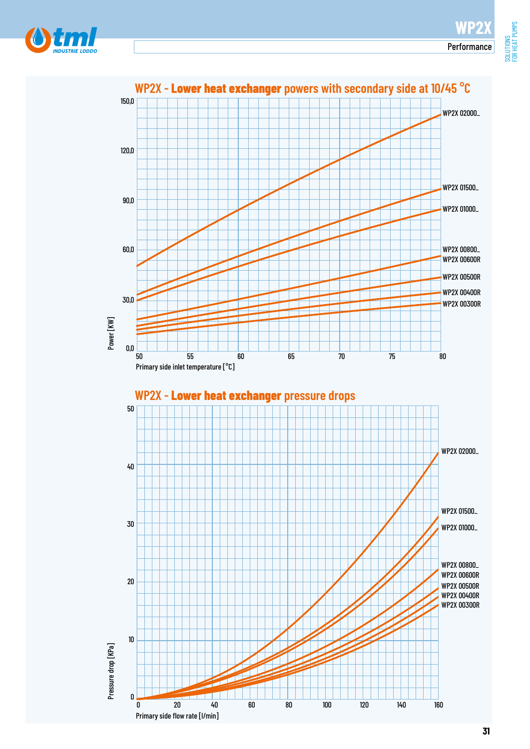FOR HEAT PUMPS



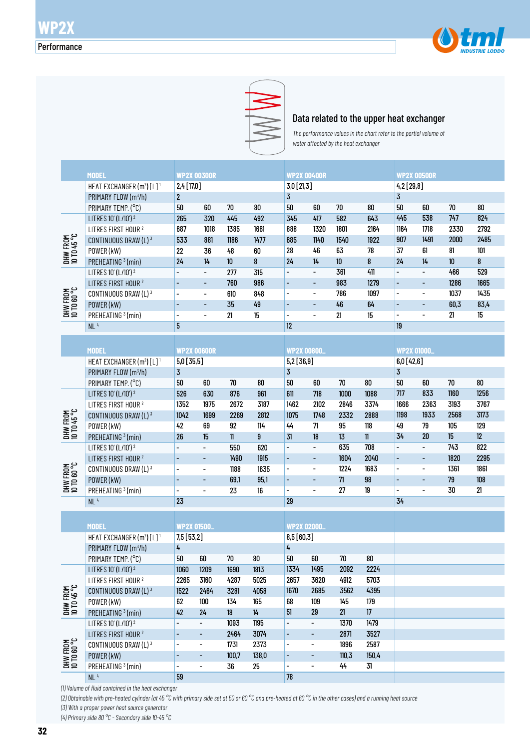



#### Data related to the upper heat exchanger

*The performance values in the chart refer to the partial volume of water affected by the heat exchanger* 

|                                                    | <b>WP2X 00300R</b><br><b>MODEL</b>                |                          |                              |               |        | <b>WP2X 00400R</b>           |                              |        |             | <b>WP2X 00500R</b>       |                              |        |            |  |  |
|----------------------------------------------------|---------------------------------------------------|--------------------------|------------------------------|---------------|--------|------------------------------|------------------------------|--------|-------------|--------------------------|------------------------------|--------|------------|--|--|
|                                                    | HEAT EXCHANGER (m <sup>2</sup> ) [L] <sup>1</sup> | 2,4 [17,0]               |                              |               |        | $3,0$ [21,3]                 |                              |        |             | $4,2$ [29,8]             |                              |        |            |  |  |
|                                                    | PRIMARY FLOW (m <sup>3</sup> /h)                  | $\overline{2}$           |                              |               |        | 3                            |                              |        |             | 3                        |                              |        |            |  |  |
|                                                    | PRIMARY TEMP. (°C)                                | 50                       | 60                           | 70            | 80     | 50                           | 60                           | $70\,$ | 80          | 50                       | 60                           | 70     | 80         |  |  |
|                                                    | LITRES 10' (L/10') <sup>2</sup>                   | 265                      | 320                          | 445           | 492    | 345                          | 417                          | 582    | 643         | 445                      | 538                          | 747    | 824        |  |  |
| DHW FROM<br>10 TD 45 °C                            | LITRES FIRST HOUR <sup>2</sup>                    | 687                      | 1018                         | 1385          | 1661   | 888                          | 1320                         | 1801   | 2164        | 1164                     | 1718                         | 2330   | 2792       |  |  |
|                                                    | CONTINUOUS DRAW (L) 3                             | 533                      | 881                          | 1186          | 1477   | 685                          | 1140                         | 1540   | 1922        | 907                      | 1491                         | 2000   | 2485       |  |  |
|                                                    | POWER (kW)                                        | 22                       | 36                           | 48            | 60     | 28                           | 46                           | 63     | 78          | 37                       | 61                           | 81     | 101        |  |  |
|                                                    | PREHEATING <sup>3</sup> (min)                     | 24                       | 14                           | 10            | 8      | 24                           | 14                           | 10     | 8           | 24                       | 14                           | 10     | 8          |  |  |
|                                                    | LITRES 10' (L/10') <sup>2</sup>                   |                          | $\overline{\phantom{0}}$     | 277           | 315    | $\overline{\phantom{0}}$     | $\overline{\phantom{0}}$     | 361    | 411         | $\overline{\phantom{0}}$ | $\blacksquare$               | 466    | 529        |  |  |
|                                                    | LITRES FIRST HOUR <sup>2</sup>                    | $\overline{\phantom{a}}$ | -                            | 760           | 986    | $\overline{\phantom{0}}$     | -                            | 983    | 1279        | $\overline{\phantom{0}}$ | $\overline{\phantom{a}}$     | 1286   | 1665       |  |  |
|                                                    |                                                   | $\overline{\phantom{a}}$ |                              |               | 848    | $\overline{\phantom{0}}$     | $\overline{\phantom{a}}$     | 786    | 1097        | $\overline{\phantom{0}}$ | $\qquad \qquad \blacksquare$ | 1037   | 1435       |  |  |
|                                                    | CONTINUOUS DRAW (L) 3                             | $\overline{\phantom{a}}$ | $\qquad \qquad \blacksquare$ | 610<br>35     | 49     | ÷,                           |                              | 46     |             | $\overline{\phantom{0}}$ | $\overline{\phantom{a}}$     | 60,3   | 83,4       |  |  |
| DHW FROM<br>10 TO 60 °C                            | POWER (kW)                                        |                          | $\qquad \qquad \blacksquare$ |               | 15     |                              | $\overline{\phantom{0}}$     |        | 64          | $\overline{\phantom{0}}$ | $\overline{\phantom{a}}$     | 21     | 15         |  |  |
|                                                    | PREHEATING <sup>3</sup> (min)                     | $\overline{\phantom{a}}$ | $\qquad \qquad \blacksquare$ | 21            |        | $\overline{\phantom{0}}$     | $\overline{\phantom{0}}$     | 21     | 15          |                          |                              |        |            |  |  |
|                                                    | NL <sup>4</sup>                                   | 5                        |                              |               |        | <sup>12</sup>                |                              |        |             | 19                       |                              |        |            |  |  |
|                                                    |                                                   |                          |                              |               |        |                              |                              |        |             |                          |                              |        |            |  |  |
|                                                    | <b>MODEL</b>                                      |                          | <b>WP2X 00600R</b>           |               |        | <b>WP2X 00800.</b>           |                              |        |             |                          | <b>WP2X 01000_</b>           |        |            |  |  |
|                                                    | HEAT EXCHANGER (m <sup>2</sup> ) [L] <sup>1</sup> | 5,0 [35,5]               |                              |               |        | 5,2 [36,9]                   |                              |        |             | 6,0[42,6]                |                              |        |            |  |  |
| DHW FROM<br>10 TD 45 °C                            | PRIMARY FLOW (m <sup>3</sup> /h)                  | $\overline{3}$           |                              |               |        | $\overline{3}$               |                              |        |             | 3                        |                              |        |            |  |  |
|                                                    | PRIMARY TEMP. (°C)                                | 50                       | 60                           | 70            | 80     | 50                           | 60                           | $70\,$ | $80\,$      | 50                       | 60                           | $70\,$ | ${\bf 80}$ |  |  |
|                                                    | LITRES 10' (L/10') <sup>2</sup>                   | 526                      | 630                          | 876           | 961    | 611                          | 718                          | 1000   | 1088        | 717                      | 833                          | 1160   | 1256       |  |  |
|                                                    | LITRES FIRST HOUR <sup>2</sup>                    | 1352                     | 1975                         | 2672          | 3187   | 1462                         | 2102                         | 2846   | 3374        | 1666                     | 2363                         | 3193   | 3767       |  |  |
|                                                    | CONTINUOUS DRAW (L) 3                             | 1042                     | 1699                         | 2269          | 2812   | 1075                         | 1748                         | 2332   | 2888        | 1198                     | 1933                         | 2568   | 3173       |  |  |
|                                                    | POWER (kW)                                        | 42                       | 69                           | 92            | 114    | 44                           | 71                           | 95     | $118$       | 49                       | 79                           | 105    | 129        |  |  |
|                                                    | PREHEATING <sup>3</sup> (min)                     | 26                       | 15                           | $\mathbf{11}$ | 9      | 31                           | 18                           | 13     | $\mathbf l$ | 34                       | 20                           | 15     | 12         |  |  |
|                                                    | LITRES 10' (L/10') <sup>2</sup>                   |                          | $\overline{\phantom{0}}$     | 550           | 620    | $\overline{\phantom{0}}$     | $\overline{\phantom{a}}$     | 635    | 708         | $\overline{\phantom{0}}$ | $\overline{\phantom{a}}$     | 743    | 822        |  |  |
|                                                    | LITRES FIRST HOUR <sup>2</sup>                    |                          | ٠                            | 1490          | 1915   | -                            | $\overline{\phantom{0}}$     | 1604   | 2040        | $\overline{a}$           | $\overline{\phantom{a}}$     | 1820   | 2295       |  |  |
| DHW FROM<br>10 TO 60 °C                            | CONTINUOUS DRAW (L) 3                             | $\overline{\phantom{a}}$ | $\overline{\phantom{0}}$     | 1188          | 1635   | $\overline{\phantom{a}}$     | $\overline{\phantom{a}}$     | 1224   | 1683        | $\overline{\phantom{0}}$ | $\overline{\phantom{a}}$     | 1361   | 1861       |  |  |
|                                                    | POWER (kW)                                        | $\overline{\phantom{a}}$ | ٠                            | 69,1          | 95,1   | $\overline{\phantom{0}}$     | $\overline{\phantom{0}}$     | 71     | 98          | $\overline{\phantom{0}}$ | $\overline{\phantom{a}}$     | 79     | $108\,$    |  |  |
|                                                    | PREHEATING <sup>3</sup> (min)                     | $\overline{\phantom{0}}$ | -                            | 23            | 16     | $\overline{\phantom{0}}$     | $\qquad \qquad \blacksquare$ | 27     | 19          | $\overline{\phantom{0}}$ | $\overline{a}$               | 30     | 21         |  |  |
|                                                    | NL <sup>4</sup>                                   | 23                       |                              |               |        | 29                           |                              |        |             | 34                       |                              |        |            |  |  |
|                                                    |                                                   |                          |                              |               |        |                              |                              |        |             |                          |                              |        |            |  |  |
|                                                    | <b>MODEL</b>                                      | <b>WP2X 01500_</b>       |                              |               |        | <b>WP2X 02000</b>            |                              |        |             |                          |                              |        |            |  |  |
|                                                    | HEAT EXCHANGER (m <sup>2</sup> ) [L] <sup>1</sup> | 7,5 [53,2]               |                              |               |        |                              | 8,5 [60,3]                   |        |             |                          |                              |        |            |  |  |
|                                                    | PRIMARY FLOW (m <sup>3</sup> /h)                  | 4                        |                              |               |        | 4                            |                              |        |             |                          |                              |        |            |  |  |
|                                                    | PRIMARY TEMP. (°C)                                | 50                       | 60                           | 70            | 80     | 50                           | 60                           | 70     | 80          |                          |                              |        |            |  |  |
| DHW FROM<br>10 TO 45 °C<br>DHW FROM<br>10 TO 60 °C | LITRES 10' (L/10') <sup>2</sup>                   | 1060                     | 1209                         | 1690          | 1813   | 1334                         | 1495                         | 2092   | 2224        |                          |                              |        |            |  |  |
|                                                    | LITRES FIRST HOUR <sup>2</sup>                    | 2265                     | 3160                         | 4287          | 5025   | 2657                         | 3620                         | 4912   | 5703        |                          |                              |        |            |  |  |
|                                                    | CONTINUOUS DRAW (L) 3                             | 1522                     | 2464                         | 3281          | 4058   | 1670                         | 2685                         | 3562   | 4395        |                          |                              |        |            |  |  |
|                                                    | POWER (kW)                                        | 62                       | 100                          | 134           | 165    | 68                           | 109                          | 145    | 179         |                          |                              |        |            |  |  |
|                                                    | PREHEATING <sup>3</sup> (min)                     | 42                       | 24                           | 18            | $14\,$ | 51                           | 29                           | 21     | $17\,$      |                          |                              |        |            |  |  |
|                                                    | LITRES 10' (L/10') <sup>2</sup>                   |                          | $\overline{\phantom{a}}$     | 1093          | 1195   | $\overline{\phantom{0}}$     | $\qquad \qquad \blacksquare$ | 1370   | 1479        |                          |                              |        |            |  |  |
|                                                    | LITRES FIRST HOUR <sup>2</sup>                    |                          | -                            | 2464          | 3074   | ۰                            | $\overline{\phantom{a}}$     | 2871   | 3527        |                          |                              |        |            |  |  |
|                                                    | CONTINUOUS DRAW (L) 3                             |                          | $\qquad \qquad \blacksquare$ | 1731          | 2373   | -                            | $\overline{\phantom{a}}$     | 1896   | 2587        |                          |                              |        |            |  |  |
|                                                    | POWER (kW)                                        |                          | -                            | 100,7         | 138,0  | $\qquad \qquad \blacksquare$ | $\overline{\phantom{a}}$     | 110,3  | 150,4       |                          |                              |        |            |  |  |
|                                                    | PREHEATING 3 (min)                                |                          |                              | 36            | 25     | $\overline{\phantom{0}}$     | $\blacksquare$               | 44     | 31          |                          |                              |        |            |  |  |

- - 44 31

78

*(1) Volume of fluid contained in the heat exchanger*

PREHEATING 3 (min)

 $NL<sup>4</sup>$ 

*(2) Obtainable with pre-heated cylinder (at 45 °C with primary side set at 50 or 60 °C and pre-heated at 60 °C in the other cases) and a running heat source (3) With a proper power heat source generator*

- - 36 25

59

*(4) Primary side 80 °C - Secondary side 10-45 °C*